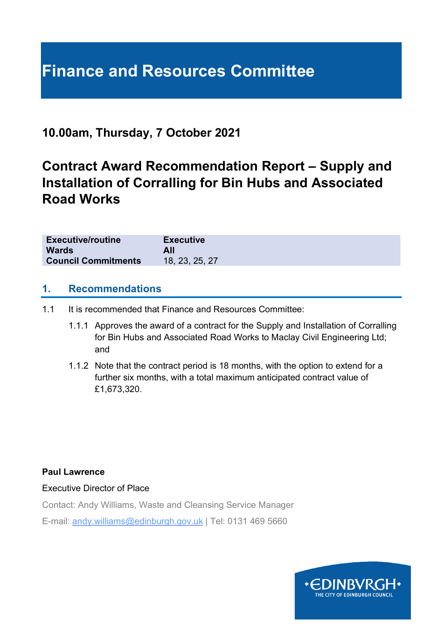# **Finance and Resources Committee**

## **10.00am, Thursday, 7 October 2021**

## **Contract Award Recommendation Report – Supply and Installation of Corralling for Bin Hubs and Associated Road Works**

| <b>Executive/routine</b><br><b>Wards</b> | <b>Executive</b><br>All |
|------------------------------------------|-------------------------|
| <b>Council Commitments</b>               | 18, 23, 25, 27          |
|                                          |                         |

#### **1. Recommendations**

- 1.1 It is recommended that Finance and Resources Committee:
	- 1.1.1 Approves the award of a contract for the Supply and Installation of Corralling for Bin Hubs and Associated Road Works to Maclay Civil Engineering Ltd; and
	- 1.1.2 Note that the contract period is 18 months, with the option to extend for a further six months, with a total maximum anticipated contract value of £1,673,320.

#### **Paul Lawrence**

#### Executive Director of Place

Contact: Andy Williams, Waste and Cleansing Service Manager

E-mail: andy.williams@edinburgh.gov.uk | Tel: 0131 469 5660

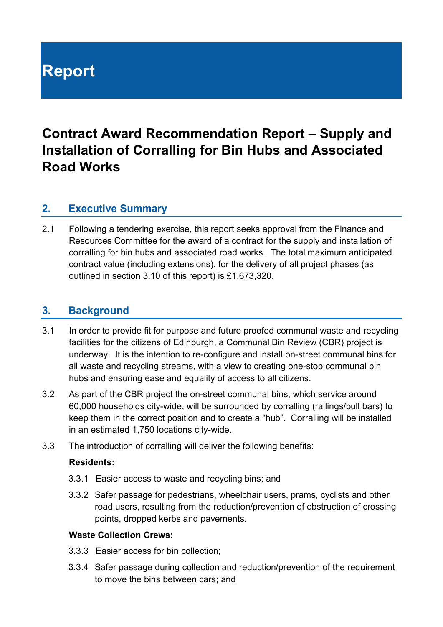# **Report**

## **Contract Award Recommendation Report – Supply and Installation of Corralling for Bin Hubs and Associated Road Works**

## **2. Executive Summary**

2.1 Following a tendering exercise, this report seeks approval from the Finance and Resources Committee for the award of a contract for the supply and installation of corralling for bin hubs and associated road works. The total maximum anticipated contract value (including extensions), for the delivery of all project phases (as outlined in section 3.10 of this report) is £1,673,320.

## **3. Background**

- 3.1 In order to provide fit for purpose and future proofed communal waste and recycling facilities for the citizens of Edinburgh, a Communal Bin Review (CBR) project is underway. It is the intention to re-configure and install on-street communal bins for all waste and recycling streams, with a view to creating one-stop communal bin hubs and ensuring ease and equality of access to all citizens.
- 3.2 As part of the CBR project the on-street communal bins, which service around 60,000 households city-wide, will be surrounded by corralling (railings/bull bars) to keep them in the correct position and to create a "hub". Corralling will be installed in an estimated 1,750 locations city-wide.
- 3.3 The introduction of corralling will deliver the following benefits:

#### **Residents:**

- 3.3.1 Easier access to waste and recycling bins; and
- 3.3.2 Safer passage for pedestrians, wheelchair users, prams, cyclists and other road users, resulting from the reduction/prevention of obstruction of crossing points, dropped kerbs and pavements.

#### **Waste Collection Crews:**

- 3.3.3 Easier access for bin collection;
- 3.3.4 Safer passage during collection and reduction/prevention of the requirement to move the bins between cars; and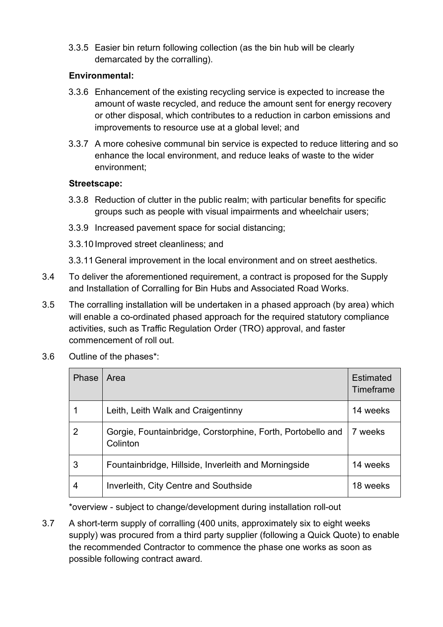3.3.5 Easier bin return following collection (as the bin hub will be clearly demarcated by the corralling).

#### **Environmental:**

- 3.3.6 Enhancement of the existing recycling service is expected to increase the amount of waste recycled, and reduce the amount sent for energy recovery or other disposal, which contributes to a reduction in carbon emissions and improvements to resource use at a global level; and
- 3.3.7 A more cohesive communal bin service is expected to reduce littering and so enhance the local environment, and reduce leaks of waste to the wider environment;

#### **Streetscape:**

- 3.3.8 Reduction of clutter in the public realm; with particular benefits for specific groups such as people with visual impairments and wheelchair users;
- 3.3.9 Increased pavement space for social distancing;
- 3.3.10 Improved street cleanliness; and
- 3.3.11General improvement in the local environment and on street aesthetics.
- 3.4 To deliver the aforementioned requirement, a contract is proposed for the Supply and Installation of Corralling for Bin Hubs and Associated Road Works.
- 3.5 The corralling installation will be undertaken in a phased approach (by area) which will enable a co-ordinated phased approach for the required statutory compliance activities, such as Traffic Regulation Order (TRO) approval, and faster commencement of roll out.
- 3.6 Outline of the phases\*:

| Phase          | Area                                                                    | <b>Estimated</b><br>Timeframe |
|----------------|-------------------------------------------------------------------------|-------------------------------|
|                | Leith, Leith Walk and Craigentinny                                      | 14 weeks                      |
| $\overline{2}$ | Gorgie, Fountainbridge, Corstorphine, Forth, Portobello and<br>Colinton | 7 weeks                       |
| 3              | Fountainbridge, Hillside, Inverleith and Morningside                    | 14 weeks                      |
|                | Inverleith, City Centre and Southside                                   | 18 weeks                      |

\*overview - subject to change/development during installation roll-out

3.7 A short-term supply of corralling (400 units, approximately six to eight weeks supply) was procured from a third party supplier (following a Quick Quote) to enable the recommended Contractor to commence the phase one works as soon as possible following contract award.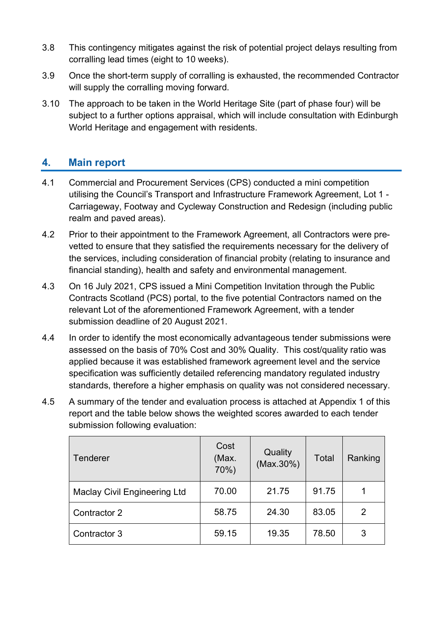- 3.8 This contingency mitigates against the risk of potential project delays resulting from corralling lead times (eight to 10 weeks).
- 3.9 Once the short-term supply of corralling is exhausted, the recommended Contractor will supply the corralling moving forward.
- 3.10 The approach to be taken in the World Heritage Site (part of phase four) will be subject to a further options appraisal, which will include consultation with Edinburgh World Heritage and engagement with residents.

## **4. Main report**

- 4.1 Commercial and Procurement Services (CPS) conducted a mini competition utilising the Council's Transport and Infrastructure Framework Agreement, Lot 1 - Carriageway, Footway and Cycleway Construction and Redesign (including public realm and paved areas).
- 4.2 Prior to their appointment to the Framework Agreement, all Contractors were prevetted to ensure that they satisfied the requirements necessary for the delivery of the services, including consideration of financial probity (relating to insurance and financial standing), health and safety and environmental management.
- 4.3 On 16 July 2021, CPS issued a Mini Competition Invitation through the Public Contracts Scotland (PCS) portal, to the five potential Contractors named on the relevant Lot of the aforementioned Framework Agreement, with a tender submission deadline of 20 August 2021.
- 4.4 In order to identify the most economically advantageous tender submissions were assessed on the basis of 70% Cost and 30% Quality. This cost/quality ratio was applied because it was established framework agreement level and the service specification was sufficiently detailed referencing mandatory regulated industry standards, therefore a higher emphasis on quality was not considered necessary.
- 4.5 A summary of the tender and evaluation process is attached at Appendix 1 of this report and the table below shows the weighted scores awarded to each tender submission following evaluation:

| Tenderer                            | Cost<br>(Max.<br>70%) | Quality<br>(Max.30%) | Total | Ranking |
|-------------------------------------|-----------------------|----------------------|-------|---------|
| <b>Maclay Civil Engineering Ltd</b> | 70.00                 | 21.75                | 91.75 |         |
| Contractor 2                        | 58.75                 | 24.30                | 83.05 | 2       |
| Contractor 3                        | 59.15                 | 19.35                | 78.50 | 3       |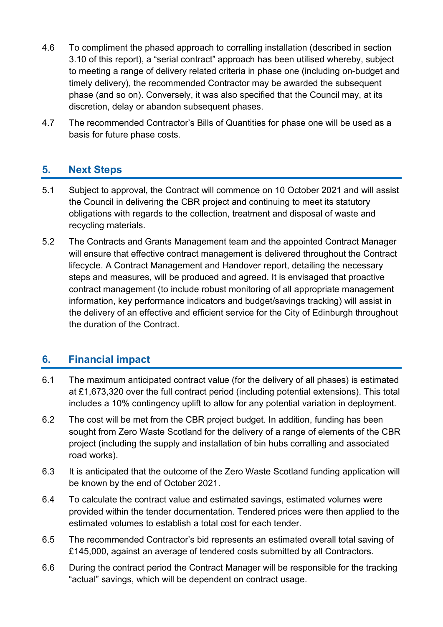- 4.6 To compliment the phased approach to corralling installation (described in section 3.10 of this report), a "serial contract" approach has been utilised whereby, subject to meeting a range of delivery related criteria in phase one (including on-budget and timely delivery), the recommended Contractor may be awarded the subsequent phase (and so on). Conversely, it was also specified that the Council may, at its discretion, delay or abandon subsequent phases.
- 4.7 The recommended Contractor's Bills of Quantities for phase one will be used as a basis for future phase costs.

## **5. Next Steps**

- 5.1 Subject to approval, the Contract will commence on 10 October 2021 and will assist the Council in delivering the CBR project and continuing to meet its statutory obligations with regards to the collection, treatment and disposal of waste and recycling materials.
- 5.2 The Contracts and Grants Management team and the appointed Contract Manager will ensure that effective contract management is delivered throughout the Contract lifecycle. A Contract Management and Handover report, detailing the necessary steps and measures, will be produced and agreed. It is envisaged that proactive contract management (to include robust monitoring of all appropriate management information, key performance indicators and budget/savings tracking) will assist in the delivery of an effective and efficient service for the City of Edinburgh throughout the duration of the Contract.

## **6. Financial impact**

- 6.1 The maximum anticipated contract value (for the delivery of all phases) is estimated at £1,673,320 over the full contract period (including potential extensions). This total includes a 10% contingency uplift to allow for any potential variation in deployment.
- 6.2 The cost will be met from the CBR project budget. In addition, funding has been sought from Zero Waste Scotland for the delivery of a range of elements of the CBR project (including the supply and installation of bin hubs corralling and associated road works).
- 6.3 It is anticipated that the outcome of the Zero Waste Scotland funding application will be known by the end of October 2021.
- 6.4 To calculate the contract value and estimated savings, estimated volumes were provided within the tender documentation. Tendered prices were then applied to the estimated volumes to establish a total cost for each tender.
- 6.5 The recommended Contractor's bid represents an estimated overall total saving of £145,000, against an average of tendered costs submitted by all Contractors.
- 6.6 During the contract period the Contract Manager will be responsible for the tracking "actual" savings, which will be dependent on contract usage.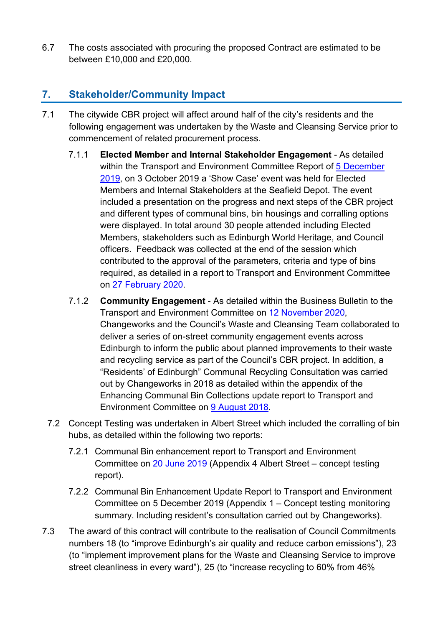6.7 The costs associated with procuring the proposed Contract are estimated to be between £10,000 and £20,000.

## **7. Stakeholder/Community Impact**

- 7.1 The citywide CBR project will affect around half of the city's residents and the following engagement was undertaken by the Waste and Cleansing Service prior to commencement of related procurement process.
	- 7.1.1 **Elected Member and Internal Stakeholder Engagement** As detailed within the Transport and Environment Committee Report of [5 December](https://democracy.edinburgh.gov.uk/ieListDocuments.aspx?CId=136&MId=331&Ver=4)  [2019,](https://democracy.edinburgh.gov.uk/ieListDocuments.aspx?CId=136&MId=331&Ver=4) on 3 October 2019 a 'Show Case' event was held for Elected Members and Internal Stakeholders at the Seafield Depot. The event included a presentation on the progress and next steps of the CBR project and different types of communal bins, bin housings and corralling options were displayed. In total around 30 people attended including Elected Members, stakeholders such as Edinburgh World Heritage, and Council officers. Feedback was collected at the end of the session which contributed to the approval of the parameters, criteria and type of bins required, as detailed in a report to Transport and Environment Committee on [27 February 2020.](https://democracy.edinburgh.gov.uk/ieListDocuments.aspx?CId=136&MId=332&Ver=4)
	- 7.1.2 **Community Engagement** As detailed within the Business Bulletin to the Transport and Environment Committee on [12 November 2020,](https://democracy.edinburgh.gov.uk/ieListDocuments.aspx?CId=136&MId=5660&Ver=4) Changeworks and the Council's Waste and Cleansing Team collaborated to deliver a series of on-street community engagement events across Edinburgh to inform the public about planned improvements to their waste and recycling service as part of the Council's CBR project. In addition, a "Residents' of Edinburgh" Communal Recycling Consultation was carried out by Changeworks in 2018 as detailed within the appendix of the Enhancing Communal Bin Collections update report to Transport and Environment Committee on [9 August 2018.](https://democracy.edinburgh.gov.uk/CeListDocuments.aspx?CommitteeId=136&MeetingId=4758&DF=09%2f08%2f2018&Ver=2)
	- 7.2 Concept Testing was undertaken in Albert Street which included the corralling of bin hubs, as detailed within the following two reports:
		- 7.2.1 Communal Bin enhancement report to Transport and Environment Committee on [20 June 2019](https://democracy.edinburgh.gov.uk/Data/Transport%20and%20Environment%20Committee/20190620/Agenda/item_711_-_communal_bin_enhancement_update.pdf) (Appendix 4 Albert Street – concept testing report).
		- 7.2.2 Communal Bin Enhancement Update Report to Transport and Environment Committee on 5 December 2019 (Appendix 1 – Concept testing monitoring summary. Including resident's consultation carried out by Changeworks).
- 7.3 The award of this contract will contribute to the realisation of Council Commitments numbers 18 (to "improve Edinburgh's air quality and reduce carbon emissions"), 23 (to "implement improvement plans for the Waste and Cleansing Service to improve street cleanliness in every ward"), 25 (to "increase recycling to 60% from 46%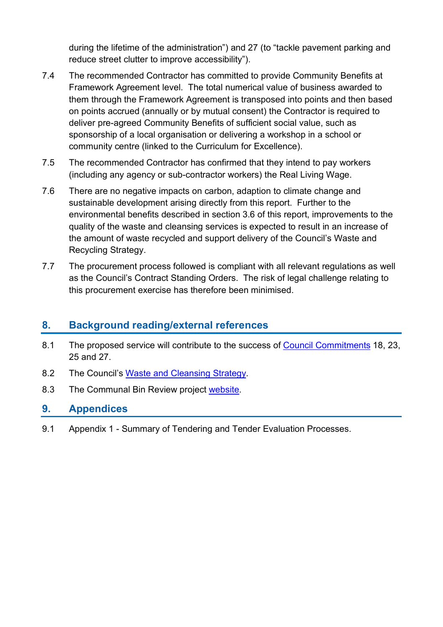during the lifetime of the administration") and 27 (to "tackle pavement parking and reduce street clutter to improve accessibility").

- 7.4 The recommended Contractor has committed to provide Community Benefits at Framework Agreement level. The total numerical value of business awarded to them through the Framework Agreement is transposed into points and then based on points accrued (annually or by mutual consent) the Contractor is required to deliver pre-agreed Community Benefits of sufficient social value, such as sponsorship of a local organisation or delivering a workshop in a school or community centre (linked to the Curriculum for Excellence).
- 7.5 The recommended Contractor has confirmed that they intend to pay workers (including any agency or sub-contractor workers) the Real Living Wage.
- 7.6 There are no negative impacts on carbon, adaption to climate change and sustainable development arising directly from this report. Further to the environmental benefits described in section 3.6 of this report, improvements to the quality of the waste and cleansing services is expected to result in an increase of the amount of waste recycled and support delivery of the Council's Waste and Recycling Strategy.
- 7.7 The procurement process followed is compliant with all relevant regulations as well as the Council's Contract Standing Orders. The risk of legal challenge relating to this procurement exercise has therefore been minimised.

## **8. Background reading/external references**

- 8.1 The proposed service will contribute to the success of [Council Commitments](https://www.edinburgh.gov.uk/council-commitments/delivering-sustainable-future) 18, 23, 25 and 27.
- 8.2 The Council's [Waste and Cleansing Strategy.](https://www.edinburgh.gov.uk/recycling-3/waste-strategy?documentId=12780&categoryId=20295)
- 8.3 The Communal Bin Review project [website.](https://www.edinburgh.gov.uk/binhubs)

#### **9. Appendices**

9.1 Appendix 1 - Summary of Tendering and Tender Evaluation Processes.